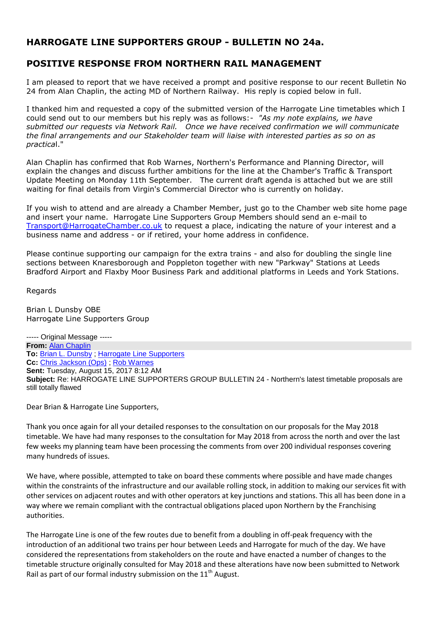# **HARROGATE LINE SUPPORTERS GROUP - BULLETIN NO 24a.**

# **POSITIVE RESPONSE FROM NORTHERN RAIL MANAGEMENT**

I am pleased to report that we have received a prompt and positive response to our recent Bulletin No 24 from Alan Chaplin, the acting MD of Northern Railway. His reply is copied below in full.

I thanked him and requested a copy of the submitted version of the Harrogate Line timetables which I could send out to our members but his reply was as follows:- *"As my note explains, we have submitted our requests via Network Rail. Once we have received confirmation we will communicate the final arrangements and our Stakeholder team will liaise with interested parties as so on as practica*l."

Alan Chaplin has confirmed that Rob Warnes, Northern's Performance and Planning Director, will explain the changes and discuss further ambitions for the line at the Chamber's Traffic & Transport Update Meeting on Monday 11th September. The current draft agenda is attached but we are still waiting for final details from Virgin's Commercial Director who is currently on holiday.

If you wish to attend and are already a Chamber Member, just go to the Chamber web site home page and insert your name. Harrogate Line Supporters Group Members should send an e-mail to [Transport@HarrogateChamber.co.uk](mailto:Transport@HarrogateChamber.co.uk) to request a place, indicating the nature of your interest and a business name and address - or if retired, your home address in confidence.

Please continue supporting our campaign for the extra trains - and also for doubling the single line sections between Knaresborough and Poppleton together with new "Parkway" Stations at Leeds Bradford Airport and Flaxby Moor Business Park and additional platforms in Leeds and York Stations.

Regards

Brian L Dunsby OBE Harrogate Line Supporters Group

----- Original Message ----- **From:** [Alan Chaplin](mailto:Alan.Chaplin@northernrailway.co.uk) **To:** [Brian L. Dunsby](mailto:brian.dunsby@harrogateline.org) ; [Harrogate Line Supporters](mailto:info@harrogateline.org) **Cc:** [Chris Jackson \(Ops\)](mailto:Christopher.Jackson@northernrailway.co.uk) ; [Rob Warnes](mailto:Rob.Warnes@northernrailway.co.uk) **Sent:** Tuesday, August 15, 2017 8:12 AM **Subject:** Re: HARROGATE LINE SUPPORTERS GROUP BULLETIN 24 - Northern's latest timetable proposals are still totally flawed

Dear Brian & Harrogate Line Supporters,

Thank you once again for all your detailed responses to the consultation on our proposals for the May 2018 timetable. We have had many responses to the consultation for May 2018 from across the north and over the last few weeks my planning team have been processing the comments from over 200 individual responses covering many hundreds of issues.

We have, where possible, attempted to take on board these comments where possible and have made changes within the constraints of the infrastructure and our available rolling stock, in addition to making our services fit with other services on adjacent routes and with other operators at key junctions and stations. This all has been done in a way where we remain compliant with the contractual obligations placed upon Northern by the Franchising authorities.

The Harrogate Line is one of the few routes due to benefit from a doubling in off-peak frequency with the introduction of an additional two trains per hour between Leeds and Harrogate for much of the day. We have considered the representations from stakeholders on the route and have enacted a number of changes to the timetable structure originally consulted for May 2018 and these alterations have now been submitted to Network Rail as part of our formal industry submission on the  $11<sup>th</sup>$  August.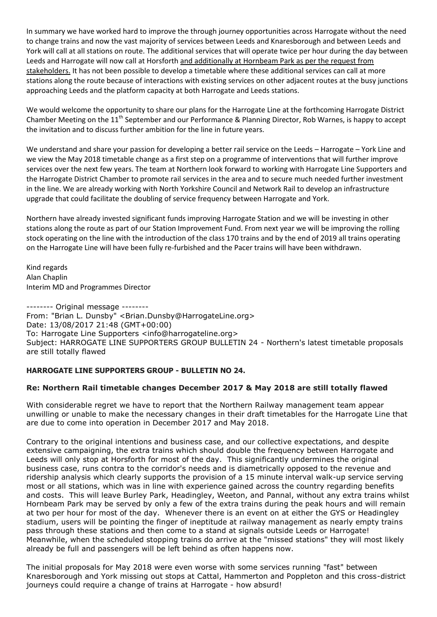In summary we have worked hard to improve the through journey opportunities across Harrogate without the need to change trains and now the vast majority of services between Leeds and Knaresborough and between Leeds and York will call at all stations on route. The additional services that will operate twice per hour during the day between Leeds and Harrogate will now call at Horsforth and additionally at Hornbeam Park as per the request from stakeholders. It has not been possible to develop a timetable where these additional services can call at more stations along the route because of interactions with existing services on other adjacent routes at the busy junctions approaching Leeds and the platform capacity at both Harrogate and Leeds stations.

We would welcome the opportunity to share our plans for the Harrogate Line at the forthcoming Harrogate District Chamber Meeting on the 11<sup>th</sup> September and our Performance & Planning Director, Rob Warnes, is happy to accept the invitation and to discuss further ambition for the line in future years.

We understand and share your passion for developing a better rail service on the Leeds – Harrogate – York Line and we view the May 2018 timetable change as a first step on a programme of interventions that will further improve services over the next few years. The team at Northern look forward to working with Harrogate Line Supporters and the Harrogate District Chamber to promote rail services in the area and to secure much needed further investment in the line. We are already working with North Yorkshire Council and Network Rail to develop an infrastructure upgrade that could facilitate the doubling of service frequency between Harrogate and York.

Northern have already invested significant funds improving Harrogate Station and we will be investing in other stations along the route as part of our Station Improvement Fund. From next year we will be improving the rolling stock operating on the line with the introduction of the class 170 trains and by the end of 2019 all trains operating on the Harrogate Line will have been fully re-furbished and the Pacer trains will have been withdrawn.

Kind regards Alan Chaplin Interim MD and Programmes Director

-------- Original message -------- From: "Brian L. Dunsby" <Brian.Dunsby@HarrogateLine.org> Date: 13/08/2017 21:48 (GMT+00:00) To: Harrogate Line Supporters <info@harrogateline.org> Subject: HARROGATE LINE SUPPORTERS GROUP BULLETIN 24 - Northern's latest timetable proposals are still totally flawed

## **HARROGATE LINE SUPPORTERS GROUP - BULLETIN NO 24.**

## **Re: Northern Rail timetable changes December 2017 & May 2018 are still totally flawed**

With considerable regret we have to report that the Northern Railway management team appear unwilling or unable to make the necessary changes in their draft timetables for the Harrogate Line that are due to come into operation in December 2017 and May 2018.

Contrary to the original intentions and business case, and our collective expectations, and despite extensive campaigning, the extra trains which should double the frequency between Harrogate and Leeds will only stop at Horsforth for most of the day. This significantly undermines the original business case, runs contra to the corridor's needs and is diametrically opposed to the revenue and ridership analysis which clearly supports the provision of a 15 minute interval walk-up service serving most or all stations, which was in line with experience gained across the country regarding benefits and costs. This will leave Burley Park, Headingley, Weeton, and Pannal, without any extra trains whilst Hornbeam Park may be served by only a few of the extra trains during the peak hours and will remain at two per hour for most of the day. Whenever there is an event on at either the GYS or Headingley stadium, users will be pointing the finger of ineptitude at railway management as nearly empty trains pass through these stations and then come to a stand at signals outside Leeds or Harrogate! Meanwhile, when the scheduled stopping trains do arrive at the "missed stations" they will most likely already be full and passengers will be left behind as often happens now.

The initial proposals for May 2018 were even worse with some services running "fast" between Knaresborough and York missing out stops at Cattal, Hammerton and Poppleton and this cross-district journeys could require a change of trains at Harrogate - how absurd!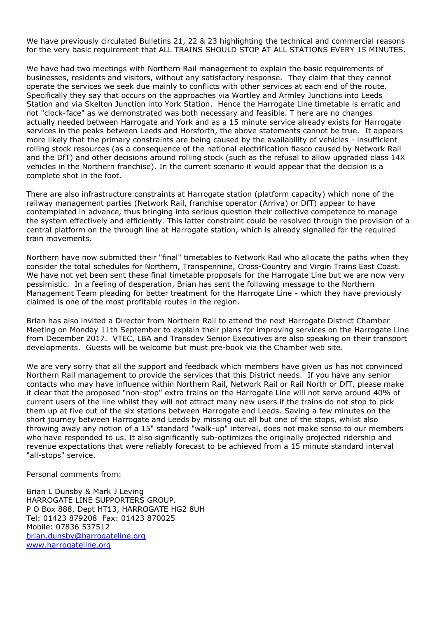We have previously circulated Bulletins 21, 22 & 23 highlighting the technical and commercial reasons for the very basic requirement that ALL TRAINS SHOULD STOP AT ALL STATIONS EVERY 15 MINUTES.

We have had two meetings with Northern Rail management to explain the basic requirements of businesses, residents and visitors, without any satisfactory response. They claim that they cannot operate the services we seek due mainly to conflicts with other services at each end of the route. Specifically they say that occurs on the approaches via Wortley and Armley Junctions into Leeds Station and via Skelton Junction into York Station. Hence the Harrogate Line timetable is erratic and not "clock-face" as we demonstrated was both necessary and feasible. T here are no changes actually needed between Harrogate and York and as a 15 minute service already exists for Harrogate services in the peaks between Leeds and Horsforth, the above statements cannot be true. It appears more likely that the primary constraints are being caused by the availability of vehicles - insufficient rolling stock resources (as a consequence of the national electrification fiasco caused by Network Rail and the DfT) and other decisions around rolling stock (such as the refusal to allow upgraded class 14X vehicles in the Northern franchise). In the current scenario it would appear that the decision is a complete shot in the foot.

There are also infrastructure constraints at Harrogate station (platform capacity) which none of the railway management parties (Network Rail, franchise operator (Arriva) or DfT) appear to have contemplated in advance, thus bringing into serious question their collective competence to manage the system effectively and efficiently. This latter constraint could be resolved through the provision of a central platform on the through line at Harrogate station, which is already signalled for the required train movements.

Northern have now submitted their "final" timetables to Network Rail who allocate the paths when they consider the total schedules for Northern, Transpennine, Cross-Country and Virgin Trains East Coast. We have not yet been sent these final timetable proposals for the Harrogate Line but we are now very pessimistic. In a feeling of desperation, Brian has sent the following message to the Northern Management Team pleading for better treatment for the Harrogate Line - which they have previously claimed is one of the most profitable routes in the region.

Brian has also invited a Director from Northern Rail to attend the next Harrogate District Chamber Meeting on Monday 11th September to explain their plans for improving services on the Harrogate Line from December 2017. VTEC, LBA and Transdev Senior Executives are also speaking on their transport developments. Guests will be welcome but must pre-book via the Chamber web site.

We are very sorry that all the support and feedback which members have given us has not convinced Northern Rail management to provide the services that this District needs. If you have any senior contacts who may have influence within Northern Rail, Network Rail or Rail North or DfT, please make it clear that the proposed "non-stop" extra trains on the Harrogate Line will not serve around 40% of current users of the line whilst they will not attract many new users if the trains do not stop to pick them up at five out of the six stations between Harrogate and Leeds. Saving a few minutes on the short journey between Harrogate and Leeds by missing out all but one of the stops, whilst also throwing away any notion of a 15" standard "walk-up" interval, does not make sense to our members who have responded to us. It also significantly sub-optimizes the originally projected ridership and revenue expectations that were reliably forecast to be achieved from a 15 minute standard interval "all-stops" service.

Personal comments from:

Brian L Dunsby & Mark J Leving HARROGATE LINE SUPPORTERS GROUP. P O Box 888, Dept HT13, HARROGATE HG2 8UH Tel: 01423 879208 Fax: 01423 870025 Mobile: 07836 537512 [brian.dunsby@harrogateline.org](mailto:brian.dunsby@harrogateline.org) [www.harrogateline.org](http://www.harrogateline.org/)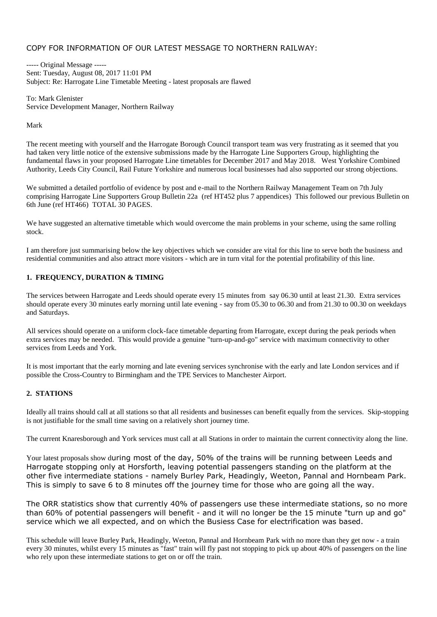### COPY FOR INFORMATION OF OUR LATEST MESSAGE TO NORTHERN RAILWAY:

----- Original Message ----- Sent: Tuesday, August 08, 2017 11:01 PM Subject: Re: Harrogate Line Timetable Meeting - latest proposals are flawed

To: Mark Glenister Service Development Manager, Northern Railway

#### Mark

The recent meeting with yourself and the Harrogate Borough Council transport team was very frustrating as it seemed that you had taken very little notice of the extensive submissions made by the Harrogate Line Supporters Group, highlighting the fundamental flaws in your proposed Harrogate Line timetables for December 2017 and May 2018. West Yorkshire Combined Authority, Leeds City Council, Rail Future Yorkshire and numerous local businesses had also supported our strong objections.

We submitted a detailed portfolio of evidence by post and e-mail to the Northern Railway Management Team on 7th July comprising Harrogate Line Supporters Group Bulletin 22a (ref HT452 plus 7 appendices) This followed our previous Bulletin on 6th June (ref HT466) TOTAL 30 PAGES.

We have suggested an alternative timetable which would overcome the main problems in your scheme, using the same rolling stock.

I am therefore just summarising below the key objectives which we consider are vital for this line to serve both the business and residential communities and also attract more visitors - which are in turn vital for the potential profitability of this line.

#### **1. FREQUENCY, DURATION & TIMING**

The services between Harrogate and Leeds should operate every 15 minutes from say 06.30 until at least 21.30. Extra services should operate every 30 minutes early morning until late evening - say from 05.30 to 06.30 and from 21.30 to 00.30 on weekdays and Saturdays.

All services should operate on a uniform clock-face timetable departing from Harrogate, except during the peak periods when extra services may be needed. This would provide a genuine "turn-up-and-go" service with maximum connectivity to other services from Leeds and York.

It is most important that the early morning and late evening services synchronise with the early and late London services and if possible the Cross-Country to Birmingham and the TPE Services to Manchester Airport.

#### **2. STATIONS**

Ideally all trains should call at all stations so that all residents and businesses can benefit equally from the services. Skip-stopping is not justifiable for the small time saving on a relatively short journey time.

The current Knaresborough and York services must call at all Stations in order to maintain the current connectivity along the line.

Your latest proposals show during most of the day, 50% of the trains will be running between Leeds and Harrogate stopping only at Horsforth, leaving potential passengers standing on the platform at the other five intermediate stations - namely Burley Park, Headingly, Weeton, Pannal and Hornbeam Park. This is simply to save 6 to 8 minutes off the journey time for those who are going all the way.

The ORR statistics show that currently 40% of passengers use these intermediate stations, so no more than 60% of potential passengers will benefit - and it will no longer be the 15 minute "turn up and go" service which we all expected, and on which the Busiess Case for electrification was based.

This schedule will leave Burley Park, Headingly, Weeton, Pannal and Hornbeam Park with no more than they get now - a train every 30 minutes, whilst every 15 minutes as "fast" train will fly past not stopping to pick up about 40% of passengers on the line who rely upon these intermediate stations to get on or off the train.